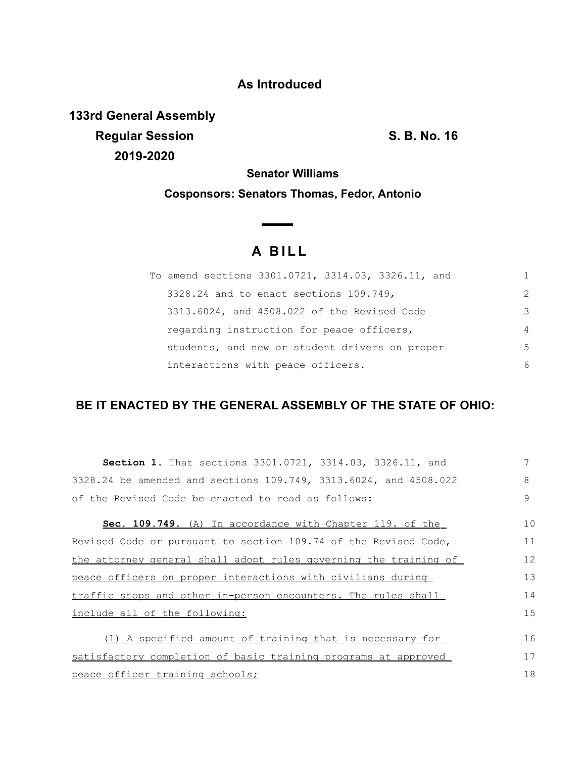# **As Introduced**

**133rd General Assembly Regular Session S. B. No. 16 2019-2020**

**Senator Williams**

**Cosponsors: Senators Thomas, Fedor, Antonio**

# **A B I L L**

**Contract Contract Contract** 

| To amend sections 3301.0721, 3314.03, 3326.11, and |                |
|----------------------------------------------------|----------------|
| 3328.24 and to enact sections 109.749,             | $\mathcal{P}$  |
| 3313.6024, and 4508.022 of the Revised Code        | 3              |
| regarding instruction for peace officers,          | $\overline{4}$ |
| students, and new or student drivers on proper     | -5             |
| interactions with peace officers.                  | 6              |

# **BE IT ENACTED BY THE GENERAL ASSEMBLY OF THE STATE OF OHIO:**

| <b>Section 1.</b> That sections 3301.0721, 3314.03, 3326.11, and | 7  |
|------------------------------------------------------------------|----|
| 3328.24 be amended and sections 109.749, 3313.6024, and 4508.022 | 8  |
| of the Revised Code be enacted to read as follows:               | 9  |
| Sec. 109.749. (A) In accordance with Chapter 119. of the         | 10 |
| Revised Code or pursuant to section 109.74 of the Revised Code,  | 11 |
| the attorney general shall adopt rules governing the training of | 12 |
| peace officers on proper interactions with civilians during      | 13 |
| traffic stops and other in-person encounters. The rules shall    | 14 |
| include all of the following:                                    | 15 |
| (1) A specified amount of training that is necessary for         | 16 |
| satisfactory completion of basic training programs at approved   | 17 |
| peace officer training schools;                                  | 18 |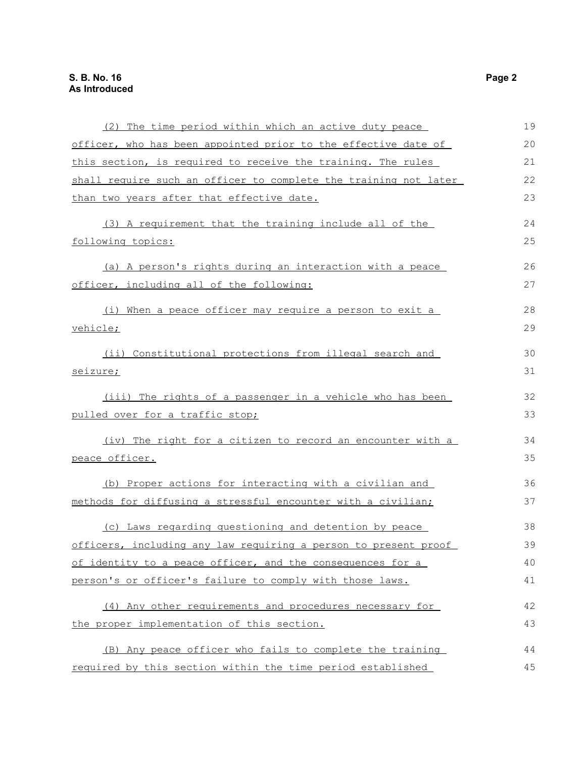| (2) The time period within which an active duty peace            | 19 |
|------------------------------------------------------------------|----|
| officer, who has been appointed prior to the effective date of   | 20 |
| this section, is required to receive the training. The rules     | 21 |
| shall require such an officer to complete the training not later | 22 |
| than two years after that effective date.                        | 23 |
| (3) A requirement that the training include all of the           | 24 |
| following topics:                                                | 25 |
| (a) A person's rights during an interaction with a peace         | 26 |
| officer, including all of the following:                         | 27 |
| (i) When a peace officer may require a person to exit a          | 28 |
| vehicle;                                                         | 29 |
| (ii) Constitutional protections from illegal search and          | 30 |
| seizure;                                                         | 31 |
| (iii) The rights of a passenger in a vehicle who has been        | 32 |
| pulled over for a traffic stop;                                  | 33 |
| (iv) The right for a citizen to record an encounter with a       | 34 |
| peace officer.                                                   | 35 |
| (b) Proper actions for interacting with a civilian and           | 36 |
| methods for diffusing a stressful encounter with a civilian;     | 37 |
| (c) Laws regarding questioning and detention by peace            | 38 |
| officers, including any law requiring a person to present proof  | 39 |
| of identity to a peace officer, and the consequences for a       | 40 |
| person's or officer's failure to comply with those laws.         | 41 |
| (4) Any other requirements and procedures necessary for          | 42 |
| the proper implementation of this section.                       | 43 |
| (B) Any peace officer who fails to complete the training         | 44 |
| required by this section within the time period established      | 45 |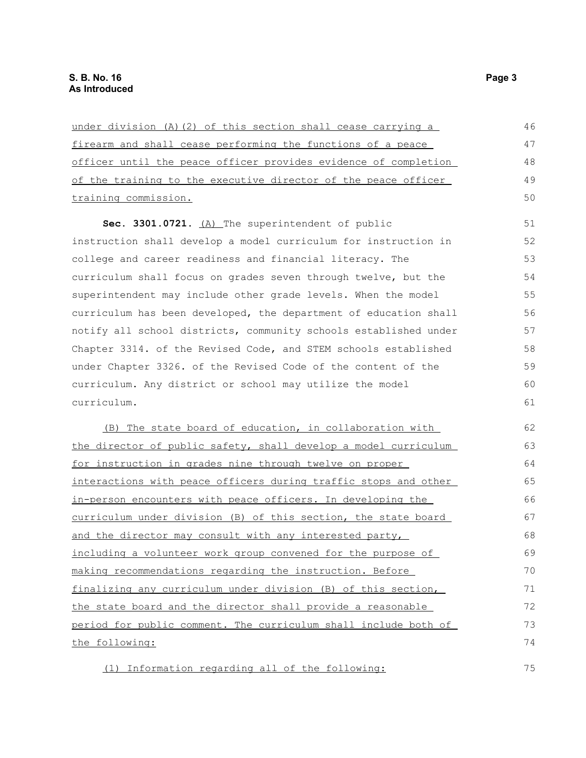| under division (A) (2) of this section shall cease carrying a    | 46 |
|------------------------------------------------------------------|----|
| firearm and shall cease performing the functions of a peace      | 47 |
| officer until the peace officer provides evidence of completion  | 48 |
| of the training to the executive director of the peace officer   | 49 |
| training commission.                                             | 50 |
| Sec. 3301.0721. (A) The superintendent of public                 | 51 |
| instruction shall develop a model curriculum for instruction in  | 52 |
| college and career readiness and financial literacy. The         | 53 |
| curriculum shall focus on grades seven through twelve, but the   | 54 |
| superintendent may include other grade levels. When the model    | 55 |
| curriculum has been developed, the department of education shall | 56 |
| notify all school districts, community schools established under | 57 |
| Chapter 3314. of the Revised Code, and STEM schools established  | 58 |
| under Chapter 3326. of the Revised Code of the content of the    | 59 |
| curriculum. Any district or school may utilize the model         | 60 |
| curriculum.                                                      | 61 |
| (B) The state board of education, in collaboration with          | 62 |
| the director of public safety, shall develop a model curriculum  | 63 |
| for instruction in grades nine through twelve on proper          | 64 |
| interactions with peace officers during traffic stops and other  | 65 |
| in-person encounters with peace officers. In developing the      | 66 |
| curriculum under division (B) of this section, the state board   | 67 |
| and the director may consult with any interested party,          | 68 |
| including a volunteer work group convened for the purpose of     | 69 |
| making recommendations regarding the instruction. Before         | 70 |
| finalizing any curriculum under division (B) of this section,    | 71 |
| the state board and the director shall provide a reasonable      | 72 |
| period for public comment. The curriculum shall include both of  | 73 |
| the following:                                                   | 74 |

(1) Information regarding all of the following: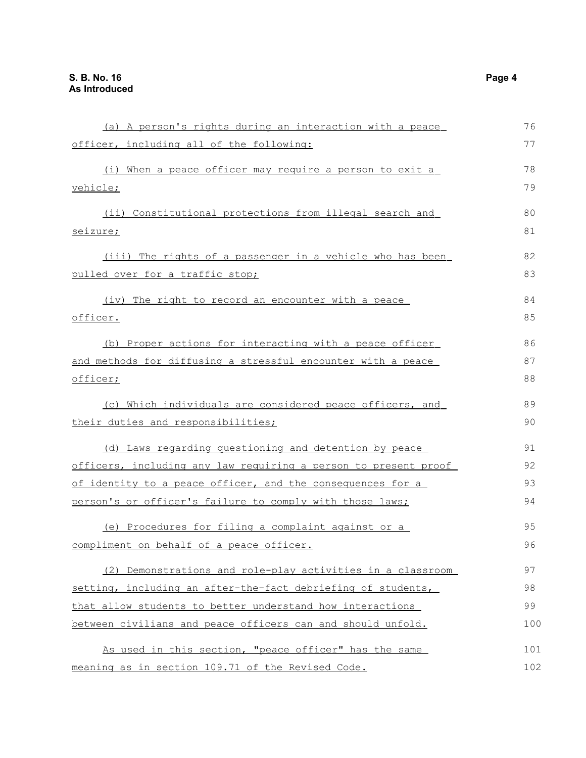| (a) A person's rights during an interaction with a peace        | 76  |
|-----------------------------------------------------------------|-----|
| officer, including all of the following:                        | 77  |
| (i) When a peace officer may require a person to exit a         | 78  |
| vehicle;                                                        | 79  |
| (ii) Constitutional protections from illegal search and         | 80  |
| seizure;                                                        | 81  |
| (iii) The rights of a passenger in a vehicle who has been       | 82  |
| pulled over for a traffic stop;                                 | 83  |
| (iv) The right to record an encounter with a peace              | 84  |
| officer.                                                        | 85  |
| (b) Proper actions for interacting with a peace officer         | 86  |
| and methods for diffusing a stressful encounter with a peace    | 87  |
| <u>officer;</u>                                                 | 88  |
| (c) Which individuals are considered peace officers, and        | 89  |
| their duties and responsibilities;                              | 90  |
| (d) Laws regarding questioning and detention by peace           | 91  |
| officers, including any law requiring a person to present proof | 92  |
| of identity to a peace officer, and the consequences for a      | 93  |
| person's or officer's failure to comply with those laws;        | 94  |
| (e) Procedures for filing a complaint against or a              | 95  |
| compliment on behalf of a peace officer.                        | 96  |
| (2) Demonstrations and role-play activities in a classroom      | 97  |
| setting, including an after-the-fact debriefing of students,    | 98  |
| that allow students to better understand how interactions       | 99  |
| between civilians and peace officers can and should unfold.     | 100 |
| As used in this section, "peace officer" has the same           | 101 |
| meaning as in section 109.71 of the Revised Code.               | 102 |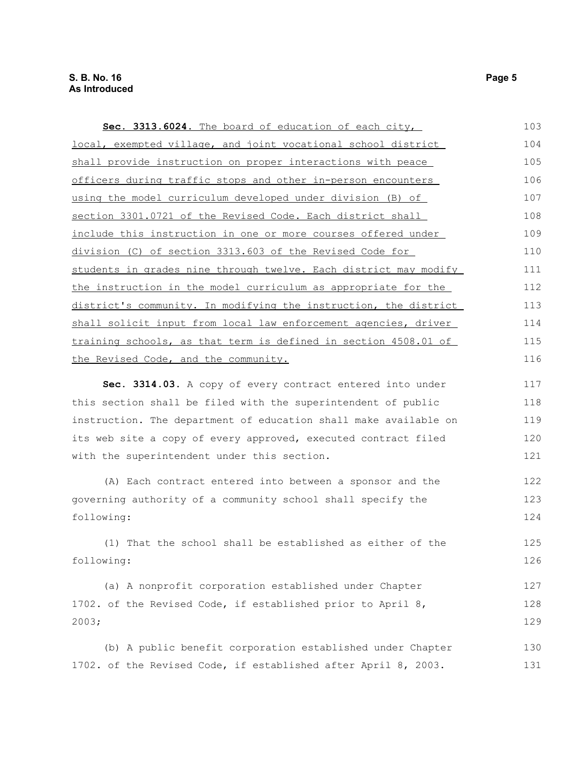| Sec. 3313.6024. The board of education of each city,             | 103 |
|------------------------------------------------------------------|-----|
| local, exempted village, and joint vocational school district    | 104 |
| shall provide instruction on proper interactions with peace      | 105 |
| officers during traffic stops and other in-person encounters     | 106 |
| using the model curriculum developed under division (B) of       | 107 |
| section 3301.0721 of the Revised Code. Each district shall       | 108 |
| include this instruction in one or more courses offered under    | 109 |
| division (C) of section 3313.603 of the Revised Code for         | 110 |
| students in grades nine through twelve. Each district may modify | 111 |
| the instruction in the model curriculum as appropriate for the   | 112 |
| district's community. In modifying the instruction, the district | 113 |
| shall solicit input from local law enforcement agencies, driver  | 114 |
| training schools, as that term is defined in section 4508.01 of  | 115 |
| the Revised Code, and the community.                             | 116 |
| Sec. 3314.03. A copy of every contract entered into under        | 117 |
| this section shall be filed with the superintendent of public    | 118 |
| instruction. The department of education shall make available on | 119 |
| its web site a copy of every approved, executed contract filed   | 120 |
| with the superintendent under this section.                      | 121 |
| (A) Each contract entered into between a sponsor and the         | 122 |
| governing authority of a community school shall specify the      | 123 |
| following:                                                       | 124 |
| (1) That the school shall be established as either of the        | 125 |
| following:                                                       | 126 |
| (a) A nonprofit corporation established under Chapter            | 127 |
| 1702. of the Revised Code, if established prior to April 8,      | 128 |
| 2003;                                                            | 129 |
| (b) A public benefit corporation established under Chapter       | 130 |
| 1702. of the Revised Code, if established after April 8, 2003.   | 131 |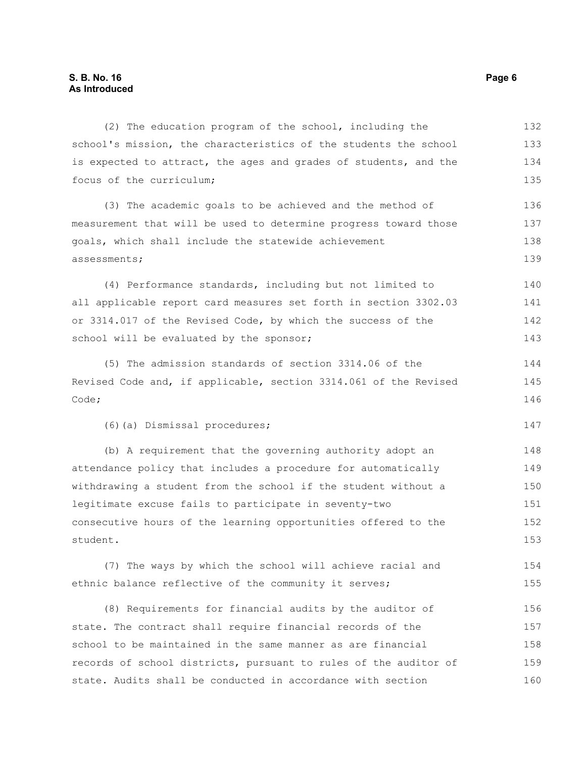(2) The education program of the school, including the school's mission, the characteristics of the students the school is expected to attract, the ages and grades of students, and the focus of the curriculum; (3) The academic goals to be achieved and the method of measurement that will be used to determine progress toward those goals, which shall include the statewide achievement assessments; (4) Performance standards, including but not limited to all applicable report card measures set forth in section 3302.03 or 3314.017 of the Revised Code, by which the success of the school will be evaluated by the sponsor; (5) The admission standards of section 3314.06 of the Revised Code and, if applicable, section 3314.061 of the Revised Code; (6)(a) Dismissal procedures; (b) A requirement that the governing authority adopt an attendance policy that includes a procedure for automatically withdrawing a student from the school if the student without a legitimate excuse fails to participate in seventy-two consecutive hours of the learning opportunities offered to the student. (7) The ways by which the school will achieve racial and 132 133 134 135 136 137 138 139 140 141 142 143 144 145 146 147 148 149 150 151 152 153 154

(8) Requirements for financial audits by the auditor of state. The contract shall require financial records of the school to be maintained in the same manner as are financial records of school districts, pursuant to rules of the auditor of state. Audits shall be conducted in accordance with section 156 157 158 159 160

ethnic balance reflective of the community it serves;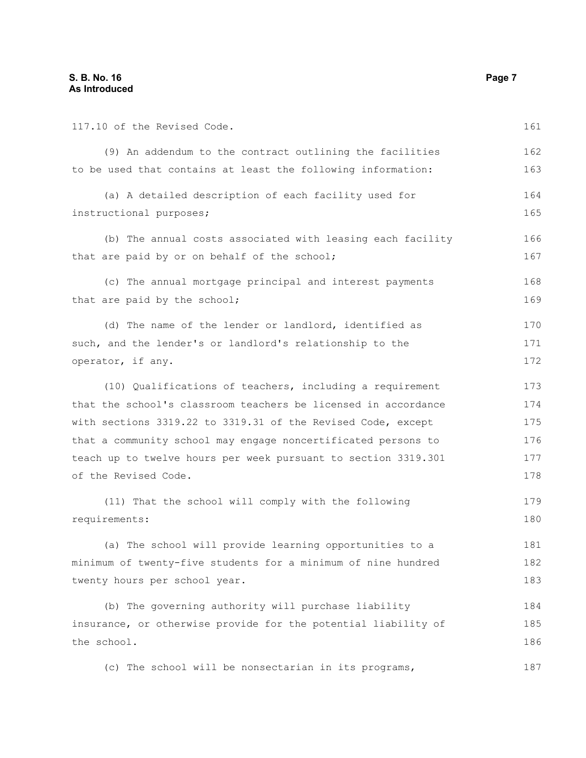| 117.10 of the Revised Code.                                    | 161 |
|----------------------------------------------------------------|-----|
| (9) An addendum to the contract outlining the facilities       | 162 |
| to be used that contains at least the following information:   | 163 |
| (a) A detailed description of each facility used for           | 164 |
| instructional purposes;                                        | 165 |
| (b) The annual costs associated with leasing each facility     | 166 |
| that are paid by or on behalf of the school;                   | 167 |
| (c) The annual mortgage principal and interest payments        | 168 |
| that are paid by the school;                                   | 169 |
| (d) The name of the lender or landlord, identified as          | 170 |
| such, and the lender's or landlord's relationship to the       | 171 |
| operator, if any.                                              | 172 |
| (10) Qualifications of teachers, including a requirement       | 173 |
| that the school's classroom teachers be licensed in accordance | 174 |
| with sections 3319.22 to 3319.31 of the Revised Code, except   | 175 |
| that a community school may engage noncertificated persons to  | 176 |
| teach up to twelve hours per week pursuant to section 3319.301 | 177 |
| of the Revised Code.                                           | 178 |
| (11) That the school will comply with the following            | 179 |
| requirements:                                                  | 180 |
| (a) The school will provide learning opportunities to a        | 181 |
| minimum of twenty-five students for a minimum of nine hundred  | 182 |
| twenty hours per school year.                                  | 183 |
| (b) The governing authority will purchase liability            | 184 |
| insurance, or otherwise provide for the potential liability of | 185 |
| the school.                                                    | 186 |
| (c) The school will be nonsectarian in its programs,           | 187 |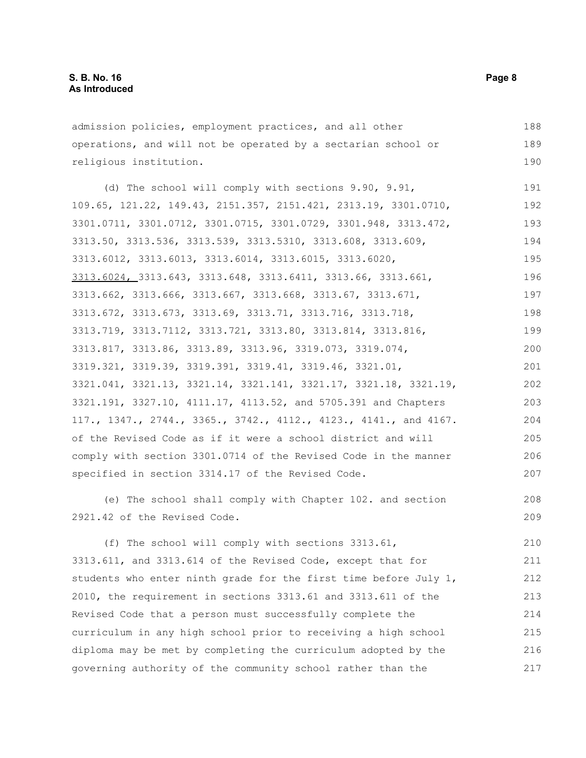admission policies, employment practices, and all other operations, and will not be operated by a sectarian school or religious institution. (d) The school will comply with sections 9.90, 9.91, 109.65, 121.22, 149.43, 2151.357, 2151.421, 2313.19, 3301.0710, 3301.0711, 3301.0712, 3301.0715, 3301.0729, 3301.948, 3313.472, 3313.50, 3313.536, 3313.539, 3313.5310, 3313.608, 3313.609, 3313.6012, 3313.6013, 3313.6014, 3313.6015, 3313.6020, 3313.6024, 3313.643, 3313.648, 3313.6411, 3313.66, 3313.661, 3313.662, 3313.666, 3313.667, 3313.668, 3313.67, 3313.671, 3313.672, 3313.673, 3313.69, 3313.71, 3313.716, 3313.718, 3313.719, 3313.7112, 3313.721, 3313.80, 3313.814, 3313.816, 3313.817, 3313.86, 3313.89, 3313.96, 3319.073, 3319.074, 3319.321, 3319.39, 3319.391, 3319.41, 3319.46, 3321.01, 3321.041, 3321.13, 3321.14, 3321.141, 3321.17, 3321.18, 3321.19, 3321.191, 3327.10, 4111.17, 4113.52, and 5705.391 and Chapters 117., 1347., 2744., 3365., 3742., 4112., 4123., 4141., and 4167. of the Revised Code as if it were a school district and will comply with section 3301.0714 of the Revised Code in the manner specified in section 3314.17 of the Revised Code. (e) The school shall comply with Chapter 102. and section 2921.42 of the Revised Code. 188 189 190 191 192 193 194 195 196 197 198 199 200 201 202 203 204 205 206 207 208 209

(f) The school will comply with sections 3313.61, 3313.611, and 3313.614 of the Revised Code, except that for students who enter ninth grade for the first time before July 1, 2010, the requirement in sections 3313.61 and 3313.611 of the Revised Code that a person must successfully complete the curriculum in any high school prior to receiving a high school diploma may be met by completing the curriculum adopted by the governing authority of the community school rather than the 210 211 212 213 214 215 216 217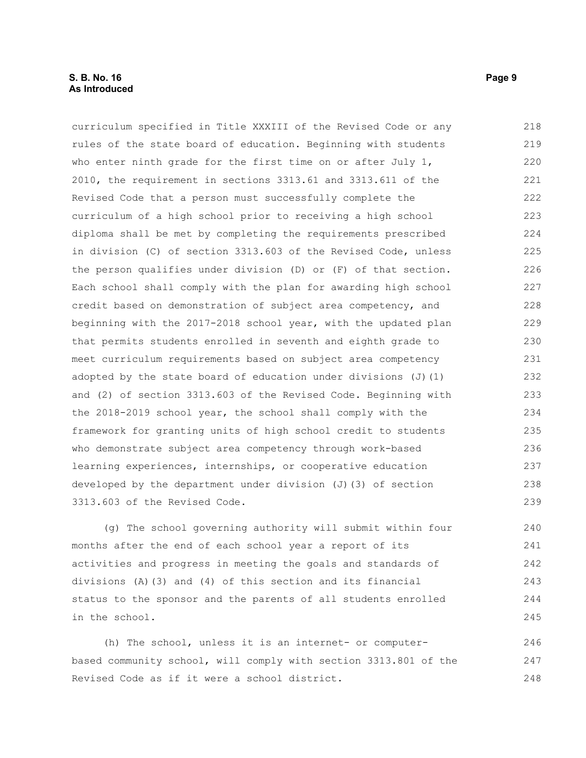### **S. B. No. 16 Page 9 As Introduced**

curriculum specified in Title XXXIII of the Revised Code or any rules of the state board of education. Beginning with students who enter ninth grade for the first time on or after July 1, 2010, the requirement in sections 3313.61 and 3313.611 of the Revised Code that a person must successfully complete the curriculum of a high school prior to receiving a high school diploma shall be met by completing the requirements prescribed in division (C) of section 3313.603 of the Revised Code, unless the person qualifies under division (D) or (F) of that section. Each school shall comply with the plan for awarding high school credit based on demonstration of subject area competency, and beginning with the 2017-2018 school year, with the updated plan that permits students enrolled in seventh and eighth grade to meet curriculum requirements based on subject area competency adopted by the state board of education under divisions  $(J)$  (1) and (2) of section 3313.603 of the Revised Code. Beginning with the 2018-2019 school year, the school shall comply with the framework for granting units of high school credit to students who demonstrate subject area competency through work-based learning experiences, internships, or cooperative education developed by the department under division (J)(3) of section 3313.603 of the Revised Code. 218 219 220 221 222 223 224 225 226 227 228 229 230 231 232 233 234 235 236 237 238 239

(g) The school governing authority will submit within four months after the end of each school year a report of its activities and progress in meeting the goals and standards of divisions (A)(3) and (4) of this section and its financial status to the sponsor and the parents of all students enrolled in the school.

(h) The school, unless it is an internet- or computerbased community school, will comply with section 3313.801 of the Revised Code as if it were a school district. 246 247 248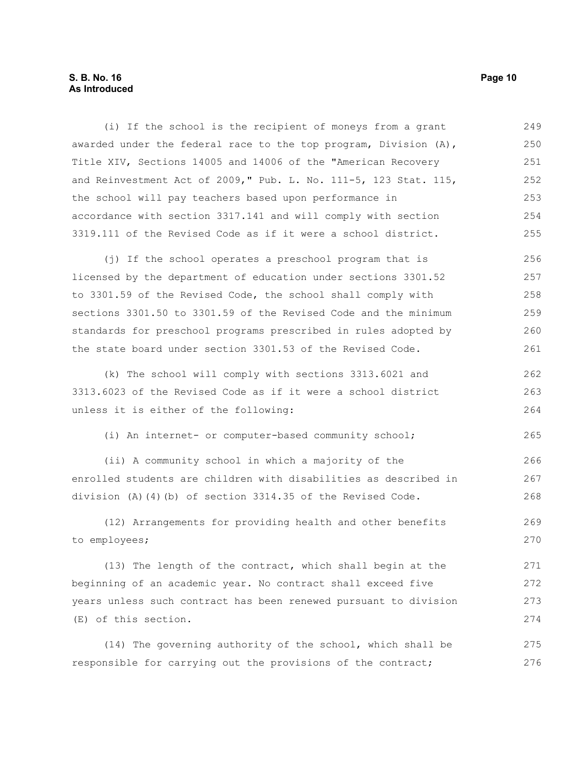### **S. B. No. 16 Page 10 As Introduced**

(i) If the school is the recipient of moneys from a grant awarded under the federal race to the top program, Division  $(A)$ , Title XIV, Sections 14005 and 14006 of the "American Recovery and Reinvestment Act of 2009," Pub. L. No. 111-5, 123 Stat. 115, the school will pay teachers based upon performance in accordance with section 3317.141 and will comply with section 3319.111 of the Revised Code as if it were a school district. 249 250 251 252 253 254 255

(j) If the school operates a preschool program that is licensed by the department of education under sections 3301.52 to 3301.59 of the Revised Code, the school shall comply with sections 3301.50 to 3301.59 of the Revised Code and the minimum standards for preschool programs prescribed in rules adopted by the state board under section 3301.53 of the Revised Code. 256 257 258 259 260 261

(k) The school will comply with sections 3313.6021 and 3313.6023 of the Revised Code as if it were a school district unless it is either of the following: 262 263 264

(i) An internet- or computer-based community school; 265

(ii) A community school in which a majority of the enrolled students are children with disabilities as described in division (A)(4)(b) of section 3314.35 of the Revised Code.

(12) Arrangements for providing health and other benefits to employees; 269 270

(13) The length of the contract, which shall begin at the beginning of an academic year. No contract shall exceed five years unless such contract has been renewed pursuant to division (E) of this section. 271 272 273 274

(14) The governing authority of the school, which shall be responsible for carrying out the provisions of the contract; 275 276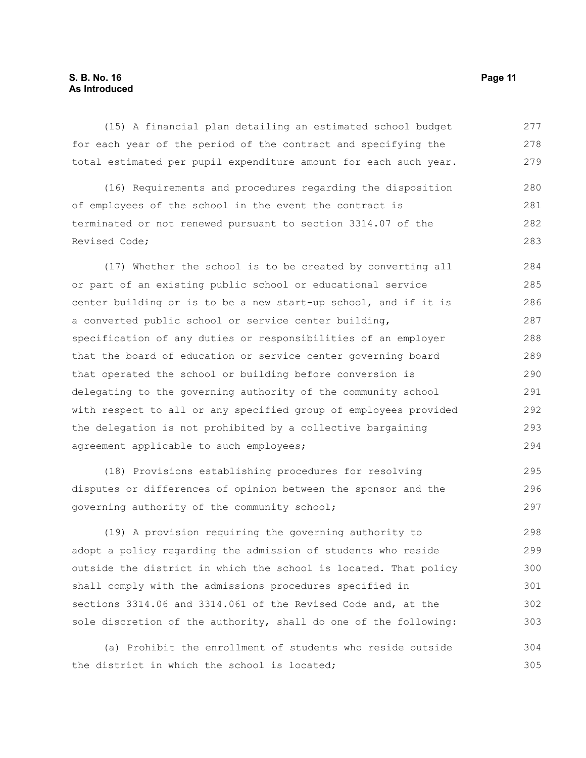#### **S. B. No. 16 Page 11 As Introduced**

(15) A financial plan detailing an estimated school budget for each year of the period of the contract and specifying the total estimated per pupil expenditure amount for each such year. 277 278 279

(16) Requirements and procedures regarding the disposition of employees of the school in the event the contract is terminated or not renewed pursuant to section 3314.07 of the Revised Code; 280 281 282 283

(17) Whether the school is to be created by converting all or part of an existing public school or educational service center building or is to be a new start-up school, and if it is a converted public school or service center building, specification of any duties or responsibilities of an employer that the board of education or service center governing board that operated the school or building before conversion is delegating to the governing authority of the community school with respect to all or any specified group of employees provided the delegation is not prohibited by a collective bargaining agreement applicable to such employees; 284 285 286 287 288 289 290 291 292 293 294

(18) Provisions establishing procedures for resolving disputes or differences of opinion between the sponsor and the governing authority of the community school; 295 296 297

(19) A provision requiring the governing authority to adopt a policy regarding the admission of students who reside outside the district in which the school is located. That policy shall comply with the admissions procedures specified in sections 3314.06 and 3314.061 of the Revised Code and, at the sole discretion of the authority, shall do one of the following: 298 299 300 301 302 303

(a) Prohibit the enrollment of students who reside outside the district in which the school is located; 304 305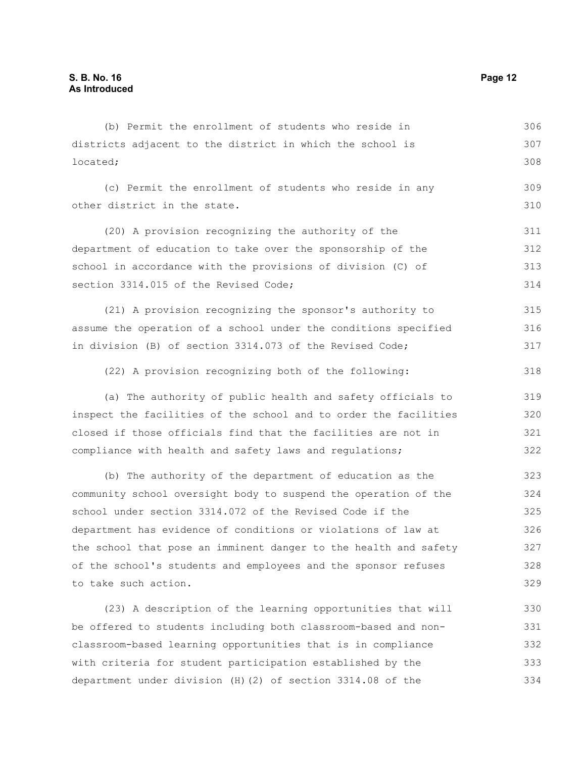districts adjacent to the district in which the school is located; (c) Permit the enrollment of students who reside in any other district in the state. (20) A provision recognizing the authority of the department of education to take over the sponsorship of the school in accordance with the provisions of division (C) of section 3314.015 of the Revised Code; (21) A provision recognizing the sponsor's authority to assume the operation of a school under the conditions specified in division (B) of section 3314.073 of the Revised Code; (22) A provision recognizing both of the following: (a) The authority of public health and safety officials to inspect the facilities of the school and to order the facilities closed if those officials find that the facilities are not in compliance with health and safety laws and regulations; (b) The authority of the department of education as the community school oversight body to suspend the operation of the school under section 3314.072 of the Revised Code if the department has evidence of conditions or violations of law at the school that pose an imminent danger to the health and safety of the school's students and employees and the sponsor refuses to take such action. 307 308 309 310 311 312 313 314 315 316 317 318 319 320 321 322 323 324 325 326 327 328 329

(b) Permit the enrollment of students who reside in

(23) A description of the learning opportunities that will be offered to students including both classroom-based and nonclassroom-based learning opportunities that is in compliance with criteria for student participation established by the department under division (H)(2) of section 3314.08 of the 330 331 332 333 334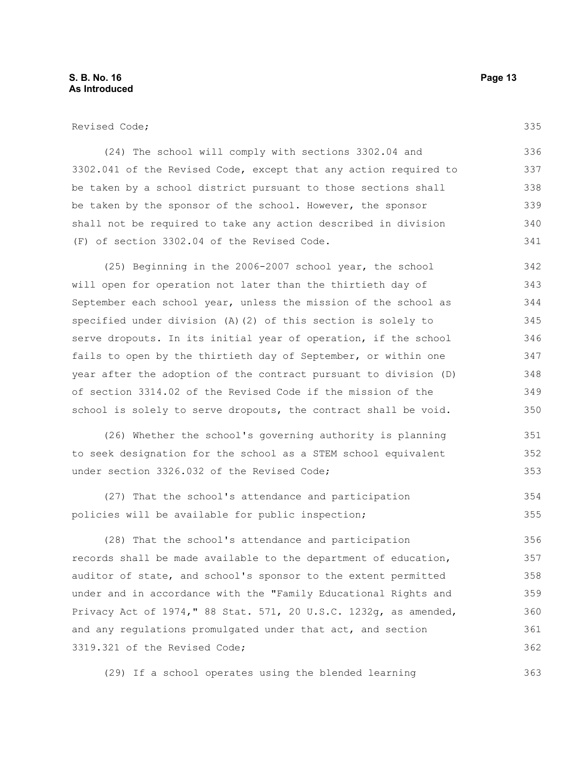335

(24) The school will comply with sections 3302.04 and 3302.041 of the Revised Code, except that any action required to be taken by a school district pursuant to those sections shall be taken by the sponsor of the school. However, the sponsor shall not be required to take any action described in division (F) of section 3302.04 of the Revised Code. 336 337 338 339 340 341

(25) Beginning in the 2006-2007 school year, the school will open for operation not later than the thirtieth day of September each school year, unless the mission of the school as specified under division (A)(2) of this section is solely to serve dropouts. In its initial year of operation, if the school fails to open by the thirtieth day of September, or within one year after the adoption of the contract pursuant to division (D) of section 3314.02 of the Revised Code if the mission of the school is solely to serve dropouts, the contract shall be void. 342 343 344 345 346 347 348 349 350

(26) Whether the school's governing authority is planning to seek designation for the school as a STEM school equivalent under section 3326.032 of the Revised Code; 351 352 353

(27) That the school's attendance and participation policies will be available for public inspection; 354 355

(28) That the school's attendance and participation records shall be made available to the department of education, auditor of state, and school's sponsor to the extent permitted under and in accordance with the "Family Educational Rights and Privacy Act of 1974," 88 Stat. 571, 20 U.S.C. 1232g, as amended, and any regulations promulgated under that act, and section 3319.321 of the Revised Code; 356 357 358 359 360 361 362

(29) If a school operates using the blended learning 363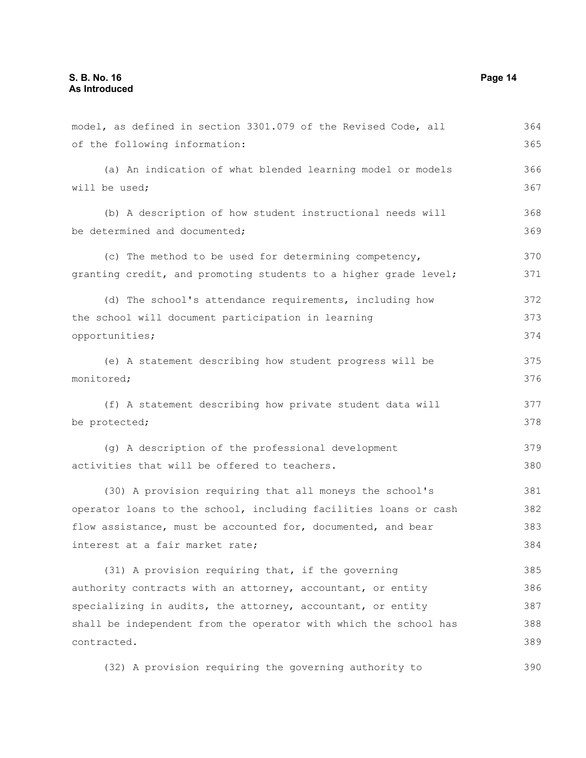will be used;

opportunities;

monitored;

be protected;

interest at a fair market rate;

of the following information: (a) An indication of what blended learning model or models (b) A description of how student instructional needs will be determined and documented: (c) The method to be used for determining competency, granting credit, and promoting students to a higher grade level; (d) The school's attendance requirements, including how the school will document participation in learning (e) A statement describing how student progress will be (f) A statement describing how private student data will (g) A description of the professional development activities that will be offered to teachers. (30) A provision requiring that all moneys the school's operator loans to the school, including facilities loans or cash flow assistance, must be accounted for, documented, and bear 365 366 367 368 369 370 371 372 373 374 375 376 377 378 379 380 381 382 383

model, as defined in section 3301.079 of the Revised Code, all

(31) A provision requiring that, if the governing authority contracts with an attorney, accountant, or entity specializing in audits, the attorney, accountant, or entity shall be independent from the operator with which the school has contracted. 385 386 387 388 389

(32) A provision requiring the governing authority to 390

364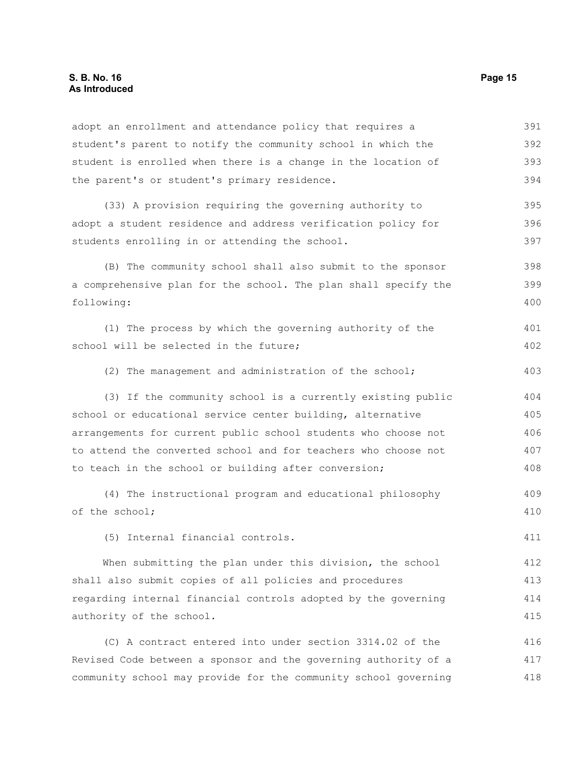adopt an enrollment and attendance policy that requires a student's parent to notify the community school in which the student is enrolled when there is a change in the location of the parent's or student's primary residence. (33) A provision requiring the governing authority to adopt a student residence and address verification policy for students enrolling in or attending the school. (B) The community school shall also submit to the sponsor a comprehensive plan for the school. The plan shall specify the following: (1) The process by which the governing authority of the school will be selected in the future; (2) The management and administration of the school; (3) If the community school is a currently existing public school or educational service center building, alternative arrangements for current public school students who choose not to attend the converted school and for teachers who choose not to teach in the school or building after conversion; (4) The instructional program and educational philosophy of the school; (5) Internal financial controls. When submitting the plan under this division, the school shall also submit copies of all policies and procedures regarding internal financial controls adopted by the governing authority of the school. (C) A contract entered into under section 3314.02 of the Revised Code between a sponsor and the governing authority of a 391 392 393 394 395 396 397 398 399 400 401 402 403 404 405 406 407 408 409 410 411 412 413 414 415 416 417

community school may provide for the community school governing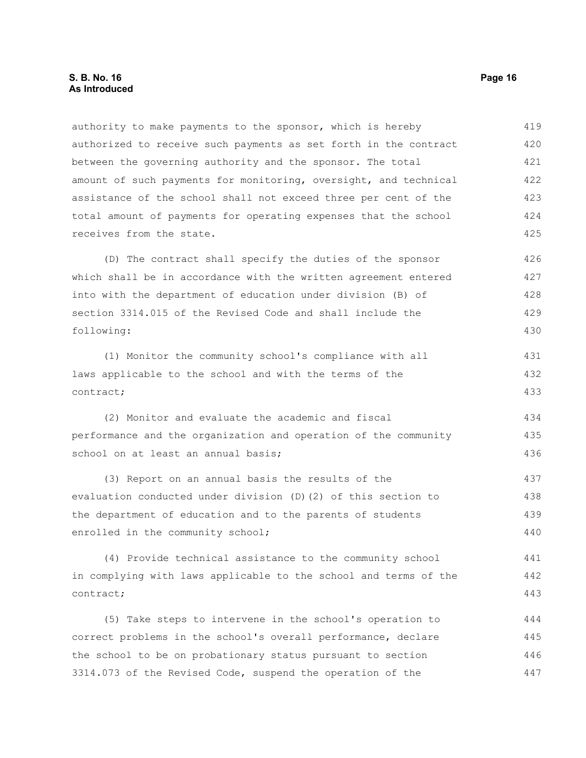### **S. B. No. 16 Page 16 As Introduced**

authority to make payments to the sponsor, which is hereby authorized to receive such payments as set forth in the contract between the governing authority and the sponsor. The total amount of such payments for monitoring, oversight, and technical assistance of the school shall not exceed three per cent of the total amount of payments for operating expenses that the school receives from the state. 419 420 421 422 423 424 425

(D) The contract shall specify the duties of the sponsor which shall be in accordance with the written agreement entered into with the department of education under division (B) of section 3314.015 of the Revised Code and shall include the following: 426 427 428 429 430

(1) Monitor the community school's compliance with all laws applicable to the school and with the terms of the contract; 431 432 433

(2) Monitor and evaluate the academic and fiscal performance and the organization and operation of the community school on at least an annual basis; 434 435 436

(3) Report on an annual basis the results of the evaluation conducted under division (D)(2) of this section to the department of education and to the parents of students enrolled in the community school; 437 438 439 440

(4) Provide technical assistance to the community school in complying with laws applicable to the school and terms of the contract;

(5) Take steps to intervene in the school's operation to correct problems in the school's overall performance, declare the school to be on probationary status pursuant to section 3314.073 of the Revised Code, suspend the operation of the 444 445 446 447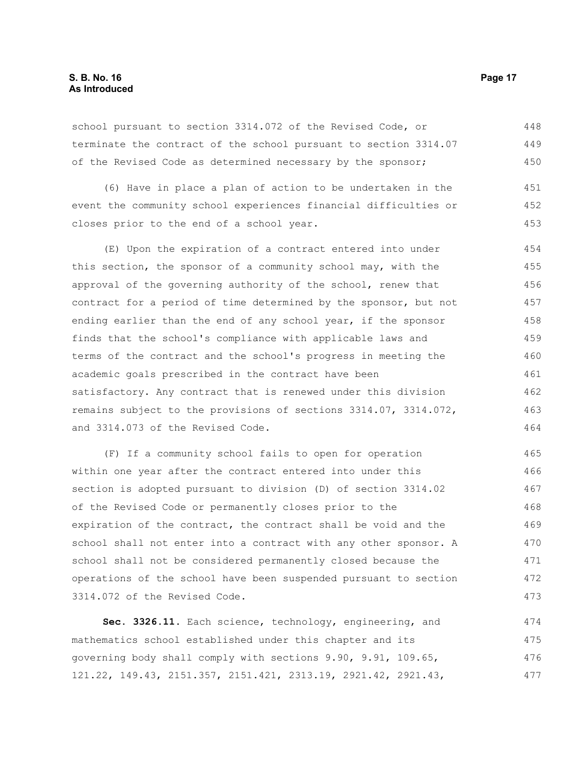### **S. B. No. 16 Page 17 As Introduced**

school pursuant to section 3314.072 of the Revised Code, or terminate the contract of the school pursuant to section 3314.07 of the Revised Code as determined necessary by the sponsor; 448 449 450

(6) Have in place a plan of action to be undertaken in the event the community school experiences financial difficulties or closes prior to the end of a school year. 451 452 453

(E) Upon the expiration of a contract entered into under this section, the sponsor of a community school may, with the approval of the governing authority of the school, renew that contract for a period of time determined by the sponsor, but not ending earlier than the end of any school year, if the sponsor finds that the school's compliance with applicable laws and terms of the contract and the school's progress in meeting the academic goals prescribed in the contract have been satisfactory. Any contract that is renewed under this division remains subject to the provisions of sections 3314.07, 3314.072, and 3314.073 of the Revised Code. 454 455 456 457 458 459 460 461 462 463 464

(F) If a community school fails to open for operation within one year after the contract entered into under this section is adopted pursuant to division (D) of section 3314.02 of the Revised Code or permanently closes prior to the expiration of the contract, the contract shall be void and the school shall not enter into a contract with any other sponsor. A school shall not be considered permanently closed because the operations of the school have been suspended pursuant to section 3314.072 of the Revised Code. 465 466 467 468 469 470 471 472 473

**Sec. 3326.11.** Each science, technology, engineering, and mathematics school established under this chapter and its governing body shall comply with sections 9.90, 9.91, 109.65, 121.22, 149.43, 2151.357, 2151.421, 2313.19, 2921.42, 2921.43, 474 475 476 477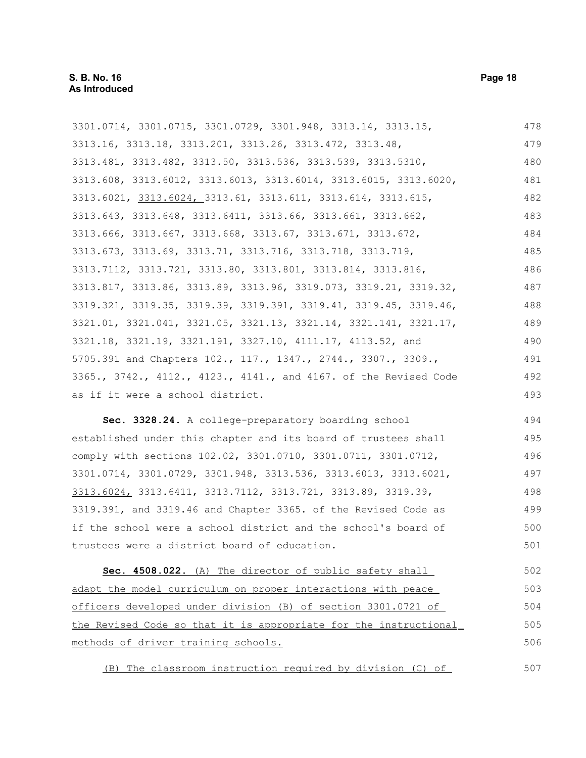| 3301.0714, 3301.0715, 3301.0729, 3301.948, 3313.14, 3313.15,     | 478 |
|------------------------------------------------------------------|-----|
| 3313.16, 3313.18, 3313.201, 3313.26, 3313.472, 3313.48,          | 479 |
| 3313.481, 3313.482, 3313.50, 3313.536, 3313.539, 3313.5310,      | 480 |
| 3313.608, 3313.6012, 3313.6013, 3313.6014, 3313.6015, 3313.6020, | 481 |
| 3313.6021, 3313.6024, 3313.61, 3313.611, 3313.614, 3313.615,     | 482 |
| 3313.643, 3313.648, 3313.6411, 3313.66, 3313.661, 3313.662,      | 483 |
| 3313.666, 3313.667, 3313.668, 3313.67, 3313.671, 3313.672,       | 484 |
| 3313.673, 3313.69, 3313.71, 3313.716, 3313.718, 3313.719,        | 485 |
| 3313.7112, 3313.721, 3313.80, 3313.801, 3313.814, 3313.816,      | 486 |
| 3313.817, 3313.86, 3313.89, 3313.96, 3319.073, 3319.21, 3319.32, | 487 |
| 3319.321, 3319.35, 3319.39, 3319.391, 3319.41, 3319.45, 3319.46, | 488 |
| 3321.01, 3321.041, 3321.05, 3321.13, 3321.14, 3321.141, 3321.17, | 489 |
| 3321.18, 3321.19, 3321.191, 3327.10, 4111.17, 4113.52, and       | 490 |
| 5705.391 and Chapters 102., 117., 1347., 2744., 3307., 3309.,    | 491 |
| 3365., 3742., 4112., 4123., 4141., and 4167. of the Revised Code | 492 |
| as if it were a school district.                                 | 493 |
| Sec. 3328.24. A college-preparatory boarding school              | 494 |
| established under this chapter and its board of trustees shall   | 495 |
| comply with sections 102.02, 3301.0710, 3301.0711, 3301.0712,    | 496 |
| 3301.0714, 3301.0729, 3301.948, 3313.536, 3313.6013, 3313.6021,  | 497 |
| 3313.6024, 3313.6411, 3313.7112, 3313.721, 3313.89, 3319.39,     | 498 |
| 3319.391, and 3319.46 and Chapter 3365. of the Revised Code as   | 499 |
| if the school were a school district and the school's board of   | 500 |
| trustees were a district board of education.                     | 501 |
| Sec. 4508.022. (A) The director of public safety shall           | 502 |
| adapt the model curriculum on proper interactions with peace     | 503 |
| officers developed under division (B) of section 3301.0721 of    | 504 |
| the Revised Code so that it is appropriate for the instructional | 505 |
| methods of driver training schools.                              | 506 |
| (B) The classroom instruction required by division (C) of        | 507 |